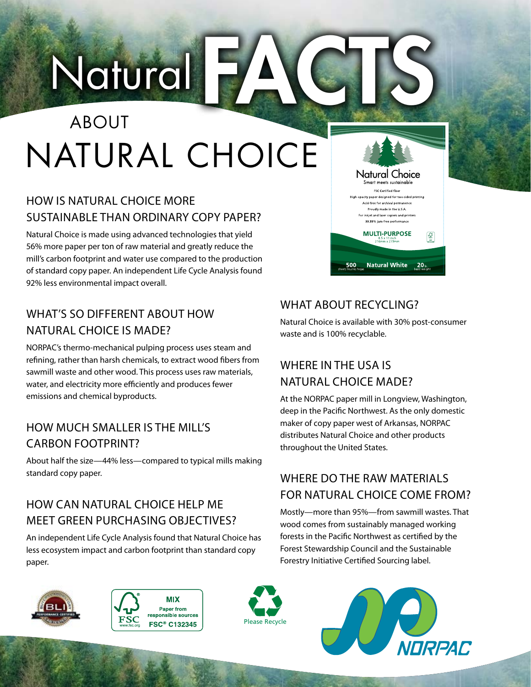## Natural F NATURAL CHOICE ABOUT

### HOW IS NATURAL CHOICE MORE SUSTAINABLE THAN ORDINARY COPY PAPER?

Natural Choice is made using advanced technologies that yield 56% more paper per ton of raw material and greatly reduce the mill's carbon footprint and water use compared to the production of standard copy paper. An independent Life Cycle Analysis found 92% less environmental impact overall.

### WHAT'S SO DIFFERENT ABOUT HOW NATURAL CHOICE IS MADE?

NORPAC's thermo-mechanical pulping process uses steam and refining, rather than harsh chemicals, to extract wood fibers from sawmill waste and other wood. This process uses raw materials, water, and electricity more efficiently and produces fewer emissions and chemical byproducts.

### HOW MUCH SMALLER IS THE MILL'S CARBON FOOTPRINT?

About half the size—44% less—compared to typical mills making standard copy paper.

### HOW CAN NATURAL CHOICE HELP ME MEET GREEN PURCHASING OBJECTIVES?

An independent Life Cycle Analysis found that Natural Choice has less ecosystem impact and carbon footprint than standard copy paper.

### WHAT ABOUT RECYCLING?

500

Natural Choice is available with 30% post-consumer waste and is 100% recyclable.

**Natural Choice** Smart meets sustainabl FSC Certified fibe opacity paper designed for two-sided printing Acid-free for archival permane Proudly made in the U.S.A. .<br>For inkjet and laser copiers and printer: 99.99% jam-free performance **MULTI-PURPOSE** 

**Natural White** 20<sub>b.</sub>

 $\left| \bigotimes_{n\infty}$ 

### WHERE IN THE USA IS NATURAL CHOICE MADE?

At the NORPAC paper mill in Longview, Washington, deep in the Pacific Northwest. As the only domestic maker of copy paper west of Arkansas, NORPAC distributes Natural Choice and other products throughout the United States.

### WHERE DO THE RAW MATERIALS FOR NATURAL CHOICE COME FROM?

Mostly—more than 95%—from sawmill wastes. That wood comes from sustainably managed working forests in the Pacific Northwest as certified by the Forest Stewardship Council and the Sustainable Forestry Initiative Certified Sourcing label.